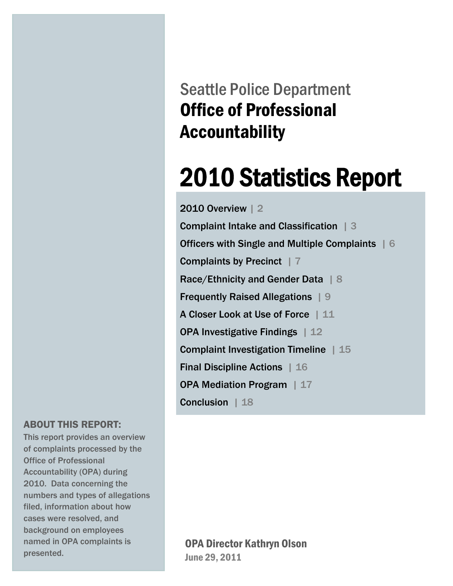Seattle Police Department Office of Professional Accountability

# 2010 Statistics Report

2010 Overview | 2

Complaint Intake and Classification | 3 Officers with Single and Multiple Complaints | 6 Complaints by Precinct | 7 Race/Ethnicity and Gender Data | 8 Frequently Raised Allegations | 9 A Closer Look at Use of Force | 11 OPA Investigative Findings | 12 Complaint Investigation Timeline | 15 Final Discipline Actions | 16 OPA Mediation Program | 17 Conclusion | 18

### ABOUT THIS REPORT:<br>This report provides an ove

 of complaints processed by the Office of Professional Accountability (OFA) during<br>2010. Data concerning the numbers and types of allegations This report provides an overview Accountability (OPA) during filed, information about how cases were resolved, and background on employees named in OPA complaints is presented.

#### OPA Director Kathryn Olson June 29, 2011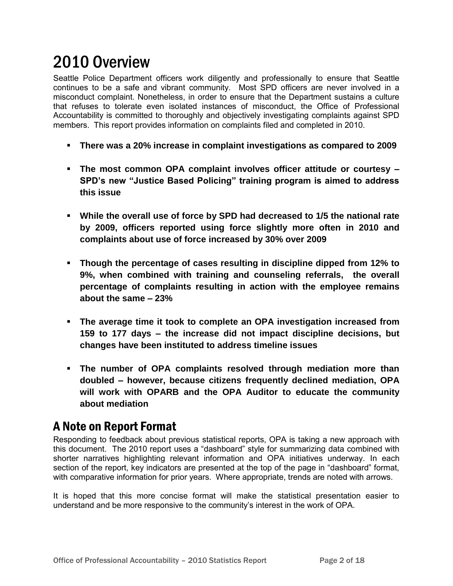# 2010 Overview

Seattle Police Department officers work diligently and professionally to ensure that Seattle continues to be a safe and vibrant community. Most SPD officers are never involved in a misconduct complaint. Nonetheless, in order to ensure that the Department sustains a culture that refuses to tolerate even isolated instances of misconduct, the Office of Professional Accountability is committed to thoroughly and objectively investigating complaints against SPD members. This report provides information on complaints filed and completed in 2010.

- **There was a 20% increase in complaint investigations as compared to 2009**
- **The most common OPA complaint involves officer attitude or courtesy – SPD's new "Justice Based Policing" training program is aimed to address this issue**
- **While the overall use of force by SPD had decreased to 1/5 the national rate by 2009, officers reported using force slightly more often in 2010 and complaints about use of force increased by 30% over 2009**
- **Though the percentage of cases resulting in discipline dipped from 12% to 9%, when combined with training and counseling referrals, the overall percentage of complaints resulting in action with the employee remains about the same – 23%**
- **The average time it took to complete an OPA investigation increased from 159 to 177 days – the increase did not impact discipline decisions, but changes have been instituted to address timeline issues**
- **The number of OPA complaints resolved through mediation more than doubled – however, because citizens frequently declined mediation, OPA will work with OPARB and the OPA Auditor to educate the community about mediation**

#### A Note on Report Format

Responding to feedback about previous statistical reports, OPA is taking a new approach with this document. The 2010 report uses a "dashboard" style for summarizing data combined with shorter narratives highlighting relevant information and OPA initiatives underway. In each section of the report, key indicators are presented at the top of the page in "dashboard" format, with comparative information for prior years. Where appropriate, trends are noted with arrows.

It is hoped that this more concise format will make the statistical presentation easier to understand and be more responsive to the community's interest in the work of OPA.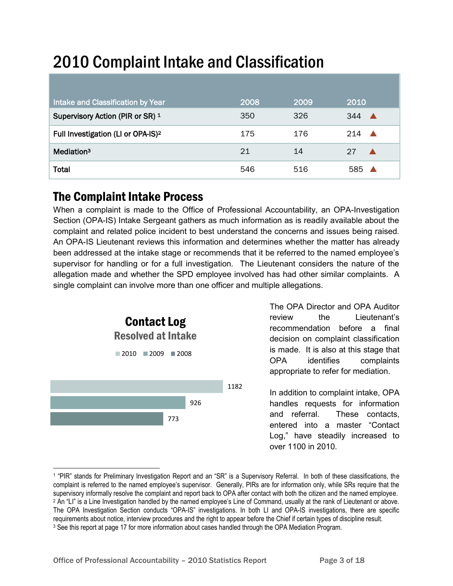# 2010 Complaint Intake and Classification

| Intake and Classification by Year              | 2008 | 2009 | 2010                    |
|------------------------------------------------|------|------|-------------------------|
| Supervisory Action (PIR or SR) 1               | 350  | 326  | 344                     |
| Full Investigation (LI or OPA-IS) <sup>2</sup> | 175  | 176  | 214<br>$\blacktriangle$ |
| Mediation <sup>3</sup>                         | 21   | 14   | 27                      |
| <b>Total</b>                                   | 546  | 516  | 585                     |

### The Complaint Intake Process

When a complaint is made to the Office of Professional Accountability, an OPA-Investigation Section (OPA-IS) Intake Sergeant gathers as much information as is readily available about the complaint and related police incident to best understand the concerns and issues being raised. An OPA-IS Lieutenant reviews this information and determines whether the matter has already been addressed at the intake stage or recommends that it be referred to the named employee's supervisor for handling or for a full investigation. The Lieutenant considers the nature of the allegation made and whether the SPD employee involved has had other similar complaints. A single complaint can involve more than one officer and multiple allegations.



 $\overline{a}$ 

The OPA Director and OPA Auditor review the Lieutenant's recommendation before a final decision on complaint classification is made. It is also at this stage that OPA identifies complaints appropriate to refer for mediation.

In addition to complaint intake, OPA handles requests for information and referral. These contacts, entered into a master "Contact Log," have steadily increased to over 1100 in 2010.

<sup>1</sup> "PIR" stands for Preliminary Investigation Report and an "SR" is a Supervisory Referral. In both of these classifications, the complaint is referred to the named employee's supervisor. Generally, PIRs are for information only, while SRs require that the supervisory informally resolve the complaint and report back to OPA after contact with both the citizen and the named employee. <sup>2</sup> An "LI" is a Line Investigation handled by the named employee's Line of Command, usually at the rank of Lieutenant or above. The OPA Investigation Section conducts "OPA-IS" investigations. In both LI and OPA-IS investigations, there are specific requirements about notice, interview procedures and the right to appear before the Chief if certain types of discipline result. 3 See this report at page 17 for more information about cases handled through the OPA Mediation Program.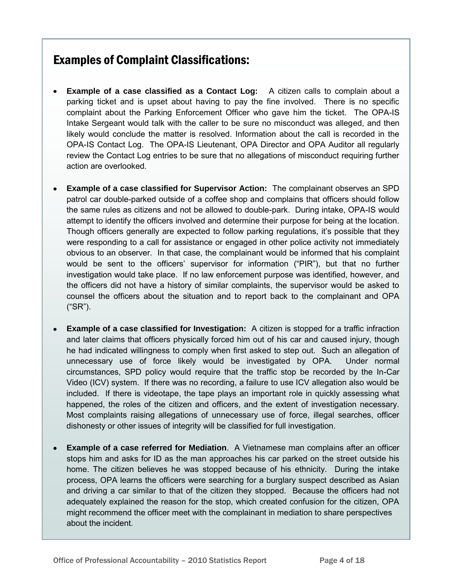### Examples of Complaint Classifications:

- **Example of a case classified as a Contact Log:** A citizen calls to complain about a parking ticket and is upset about having to pay the fine involved. There is no specific complaint about the Parking Enforcement Officer who gave him the ticket. The OPA-IS Intake Sergeant would talk with the caller to be sure no misconduct was alleged, and then likely would conclude the matter is resolved. Information about the call is recorded in the OPA-IS Contact Log. The OPA-IS Lieutenant, OPA Director and OPA Auditor all regularly review the Contact Log entries to be sure that no allegations of misconduct requiring further action are overlooked.
- **Example of a case classified for Supervisor Action:** The complainant observes an SPD patrol car double-parked outside of a coffee shop and complains that officers should follow the same rules as citizens and not be allowed to double-park. During intake, OPA-IS would attempt to identify the officers involved and determine their purpose for being at the location. Though officers generally are expected to follow parking regulations, it's possible that they were responding to a call for assistance or engaged in other police activity not immediately obvious to an observer. In that case, the complainant would be informed that his complaint would be sent to the officers' supervisor for information ("PIR"), but that no further investigation would take place. If no law enforcement purpose was identified, however, and the officers did not have a history of similar complaints, the supervisor would be asked to counsel the officers about the situation and to report back to the complainant and OPA ("SR").
- **Example of a case classified for Investigation:** A citizen is stopped for a traffic infraction and later claims that officers physically forced him out of his car and caused injury, though he had indicated willingness to comply when first asked to step out. Such an allegation of unnecessary use of force likely would be investigated by OPA. Under normal circumstances, SPD policy would require that the traffic stop be recorded by the In-Car Video (ICV) system. If there was no recording, a failure to use ICV allegation also would be included. If there is videotape, the tape plays an important role in quickly assessing what happened, the roles of the citizen and officers, and the extent of investigation necessary. Most complaints raising allegations of unnecessary use of force, illegal searches, officer dishonesty or other issues of integrity will be classified for full investigation.
- **Example of a case referred for Mediation**. A Vietnamese man complains after an officer stops him and asks for ID as the man approaches his car parked on the street outside his home. The citizen believes he was stopped because of his ethnicity. During the intake process, OPA learns the officers were searching for a burglary suspect described as Asian and driving a car similar to that of the citizen they stopped. Because the officers had not adequately explained the reason for the stop, which created confusion for the citizen, OPA might recommend the officer meet with the complainant in mediation to share perspectives about the incident.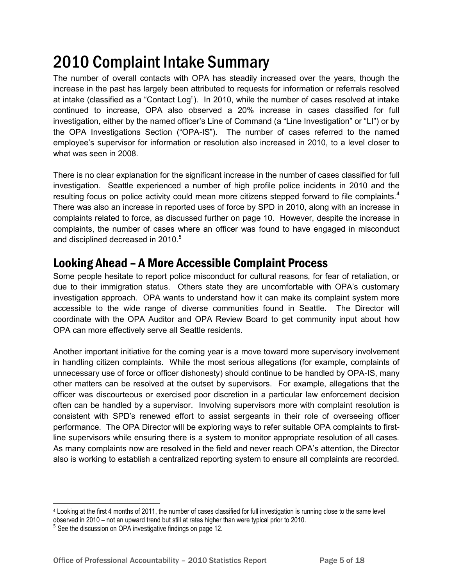# 2010 Complaint Intake Summary

The number of overall contacts with OPA has steadily increased over the years, though the increase in the past has largely been attributed to requests for information or referrals resolved at intake (classified as a "Contact Log"). In 2010, while the number of cases resolved at intake continued to increase, OPA also observed a 20% increase in cases classified for full investigation, either by the named officer's Line of Command (a "Line Investigation" or "LI") or by the OPA Investigations Section ("OPA-IS"). The number of cases referred to the named employee's supervisor for information or resolution also increased in 2010, to a level closer to what was seen in 2008.

There is no clear explanation for the significant increase in the number of cases classified for full investigation. Seattle experienced a number of high profile police incidents in 2010 and the resulting focus on police activity could mean more citizens stepped forward to file complaints.<sup>4</sup> There was also an increase in reported uses of force by SPD in 2010, along with an increase in complaints related to force, as discussed further on page 10. However, despite the increase in complaints, the number of cases where an officer was found to have engaged in misconduct and disciplined decreased in 2010.<sup>5</sup>

#### Looking Ahead – A More Accessible Complaint Process

Some people hesitate to report police misconduct for cultural reasons, for fear of retaliation, or due to their immigration status. Others state they are uncomfortable with OPA's customary investigation approach. OPA wants to understand how it can make its complaint system more accessible to the wide range of diverse communities found in Seattle. The Director will coordinate with the OPA Auditor and OPA Review Board to get community input about how OPA can more effectively serve all Seattle residents.

Another important initiative for the coming year is a move toward more supervisory involvement in handling citizen complaints. While the most serious allegations (for example, complaints of unnecessary use of force or officer dishonesty) should continue to be handled by OPA-IS, many other matters can be resolved at the outset by supervisors. For example, allegations that the officer was discourteous or exercised poor discretion in a particular law enforcement decision often can be handled by a supervisor. Involving supervisors more with complaint resolution is consistent with SPD's renewed effort to assist sergeants in their role of overseeing officer performance. The OPA Director will be exploring ways to refer suitable OPA complaints to firstline supervisors while ensuring there is a system to monitor appropriate resolution of all cases. As many complaints now are resolved in the field and never reach OPA's attention, the Director also is working to establish a centralized reporting system to ensure all complaints are recorded.

<sup>4</sup> Looking at the first 4 months of 2011, the number of cases classified for full investigation is running close to the same level observed in 2010 – not an upward trend but still at rates higher than were typical prior to 2010.

 $5$  See the discussion on OPA investigative findings on page 12.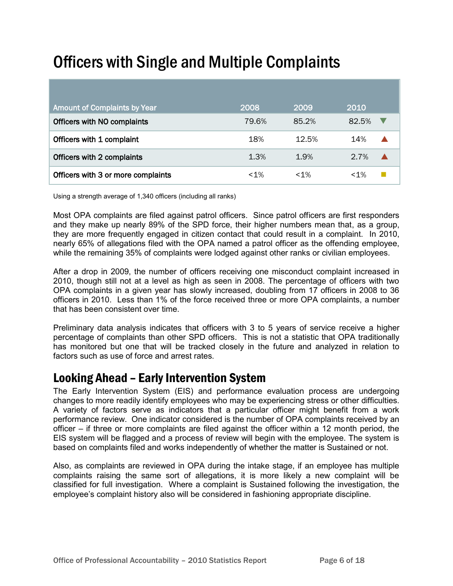# Officers with Single and Multiple Complaints

| <b>Amount of Complaints by Year</b> | 2008   | 2009   | 2010    |
|-------------------------------------|--------|--------|---------|
| Officers with NO complaints         | 79.6%  | 85.2%  | 82.5%   |
| Officers with 1 complaint           | 18%    | 12.5%  | 14%     |
| Officers with 2 complaints          | 1.3%   | 1.9%   | $2.7\%$ |
| Officers with 3 or more complaints  | $~1\%$ | $<1\%$ | $<1\%$  |

Using a strength average of 1,340 officers (including all ranks)

Most OPA complaints are filed against patrol officers. Since patrol officers are first responders and they make up nearly 89% of the SPD force, their higher numbers mean that, as a group, they are more frequently engaged in citizen contact that could result in a complaint. In 2010, nearly 65% of allegations filed with the OPA named a patrol officer as the offending employee, while the remaining 35% of complaints were lodged against other ranks or civilian employees.

After a drop in 2009, the number of officers receiving one misconduct complaint increased in 2010, though still not at a level as high as seen in 2008. The percentage of officers with two OPA complaints in a given year has slowly increased, doubling from 17 officers in 2008 to 36 officers in 2010. Less than 1% of the force received three or more OPA complaints, a number that has been consistent over time.

Preliminary data analysis indicates that officers with 3 to 5 years of service receive a higher percentage of complaints than other SPD officers. This is not a statistic that OPA traditionally has monitored but one that will be tracked closely in the future and analyzed in relation to factors such as use of force and arrest rates.

#### Looking Ahead – Early Intervention System

The Early Intervention System (EIS) and performance evaluation process are undergoing changes to more readily identify employees who may be experiencing stress or other difficulties. A variety of factors serve as indicators that a particular officer might benefit from a work performance review. One indicator considered is the number of OPA complaints received by an officer – if three or more complaints are filed against the officer within a 12 month period, the EIS system will be flagged and a process of review will begin with the employee. The system is based on complaints filed and works independently of whether the matter is Sustained or not.

Also, as complaints are reviewed in OPA during the intake stage, if an employee has multiple complaints raising the same sort of allegations, it is more likely a new complaint will be classified for full investigation. Where a complaint is Sustained following the investigation, the employee's complaint history also will be considered in fashioning appropriate discipline.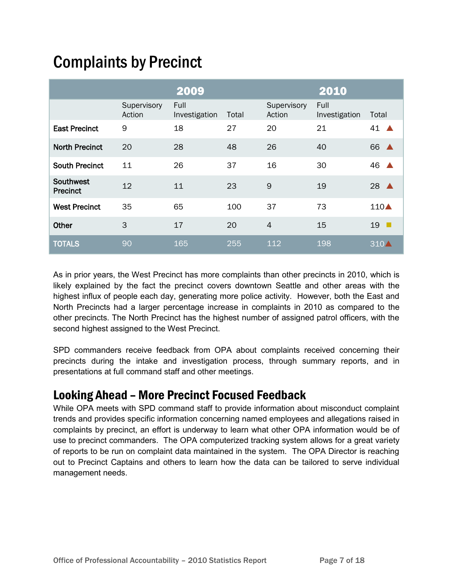### Complaints by Precinct

|                              |                       | 2009                  |       |                       | 2010                  |                                |
|------------------------------|-----------------------|-----------------------|-------|-----------------------|-----------------------|--------------------------------|
|                              | Supervisory<br>Action | Full<br>Investigation | Total | Supervisory<br>Action | Full<br>Investigation | Total                          |
| <b>East Precinct</b>         | 9                     | 18                    | 27    | 20                    | 21                    | 41                             |
| <b>North Precinct</b>        | 20                    | 28                    | 48    | 26                    | 40                    | 66<br>$\blacktriangle$         |
| <b>South Precinct</b>        | 11                    | 26                    | 37    | 16                    | 30                    | 46                             |
| Southwest<br><b>Precinct</b> | 12                    | 11                    | 23    | 9                     | 19                    | 28<br>A                        |
| <b>West Precinct</b>         | 35                    | 65                    | 100   | 37                    | 73                    | $110\blacktriangle$            |
| Other                        | 3                     | 17                    | 20    | 4                     | 15                    | 19<br>$\overline{\phantom{a}}$ |
| <b>TOTALS</b>                | 90                    | 165                   | 255   | 112                   | 198                   | 310/                           |

As in prior years, the West Precinct has more complaints than other precincts in 2010, which is likely explained by the fact the precinct covers downtown Seattle and other areas with the highest influx of people each day, generating more police activity. However, both the East and North Precincts had a larger percentage increase in complaints in 2010 as compared to the other precincts. The North Precinct has the highest number of assigned patrol officers, with the second highest assigned to the West Precinct.

SPD commanders receive feedback from OPA about complaints received concerning their precincts during the intake and investigation process, through summary reports, and in presentations at full command staff and other meetings.

### Looking Ahead – More Precinct Focused Feedback

While OPA meets with SPD command staff to provide information about misconduct complaint trends and provides specific information concerning named employees and allegations raised in complaints by precinct, an effort is underway to learn what other OPA information would be of use to precinct commanders. The OPA computerized tracking system allows for a great variety of reports to be run on complaint data maintained in the system. The OPA Director is reaching out to Precinct Captains and others to learn how the data can be tailored to serve individual management needs.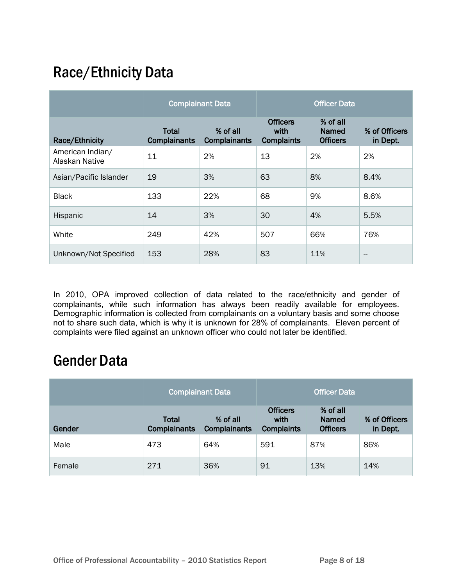### Race/Ethnicity Data

|                                    | <b>Complainant Data</b>             |                                 | <b>Officer Data</b>                          |                                             |                           |
|------------------------------------|-------------------------------------|---------------------------------|----------------------------------------------|---------------------------------------------|---------------------------|
| Race/Ethnicity                     | <b>Total</b><br><b>Complainants</b> | % of all<br><b>Complainants</b> | <b>Officers</b><br>with<br><b>Complaints</b> | % of all<br><b>Named</b><br><b>Officers</b> | % of Officers<br>in Dept. |
| American Indian/<br>Alaskan Native | 11                                  | 2%                              | 13                                           | 2%                                          | 2%                        |
| Asian/Pacific Islander             | 19                                  | 3%                              | 63                                           | 8%                                          | 8.4%                      |
| <b>Black</b>                       | 133                                 | 22%                             | 68                                           | 9%                                          | 8.6%                      |
| Hispanic                           | 14                                  | 3%                              | 30                                           | 4%                                          | 5.5%                      |
| White                              | 249                                 | 42%                             | 507                                          | 66%                                         | 76%                       |
| Unknown/Not Specified              | 153                                 | 28%                             | 83                                           | 11%                                         |                           |

In 2010, OPA improved collection of data related to the race/ethnicity and gender of complainants, while such information has always been readily available for employees. Demographic information is collected from complainants on a voluntary basis and some choose not to share such data, which is why it is unknown for 28% of complainants. Eleven percent of complaints were filed against an unknown officer who could not later be identified.

### Gender Data

|        | <b>Complainant Data</b>             |                                 |                                              | <b>Officer Data</b>                         |                           |
|--------|-------------------------------------|---------------------------------|----------------------------------------------|---------------------------------------------|---------------------------|
| Gender | <b>Total</b><br><b>Complainants</b> | % of all<br><b>Complainants</b> | <b>Officers</b><br>with<br><b>Complaints</b> | % of all<br><b>Named</b><br><b>Officers</b> | % of Officers<br>in Dept. |
| Male   | 473                                 | 64%                             | 591                                          | 87%                                         | 86%                       |
| Female | 271                                 | 36%                             | 91                                           | 13%                                         | 14%                       |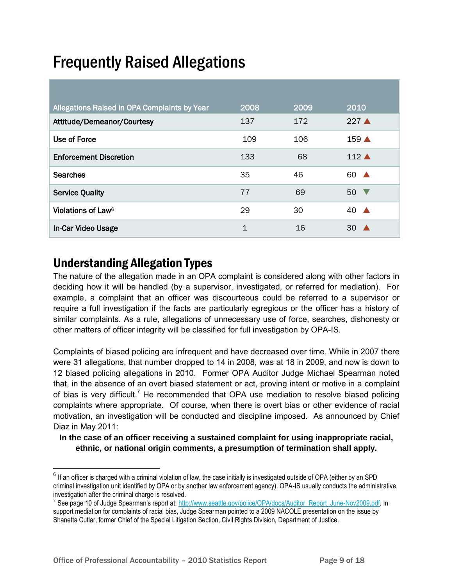# Frequently Raised Allegations

| Allegations Raised in OPA Complaints by Year | 2008        | 2009 | 2010                   |
|----------------------------------------------|-------------|------|------------------------|
| Attitude/Demeanor/Courtesy                   | 137         | 172  | $227 \triangle$        |
| Use of Force                                 | 109         | 106  | $159 \triangle$        |
| <b>Enforcement Discretion</b>                | 133         | 68   | $112 \triangle$        |
| <b>Searches</b>                              | 35          | 46   | 60<br>$\blacktriangle$ |
| <b>Service Quality</b>                       | 77          | 69   | 50 <sub>o</sub>        |
| Violations of Law <sup>6</sup>               | 29          | 30   | 40<br>$\blacktriangle$ |
| In-Car Video Usage                           | $\mathbf 1$ | 16   | 30                     |

### Understanding Allegation Types

l

The nature of the allegation made in an OPA complaint is considered along with other factors in deciding how it will be handled (by a supervisor, investigated, or referred for mediation). For example, a complaint that an officer was discourteous could be referred to a supervisor or require a full investigation if the facts are particularly egregious or the officer has a history of similar complaints. As a rule, allegations of unnecessary use of force, searches, dishonesty or other matters of officer integrity will be classified for full investigation by OPA-IS.

Complaints of biased policing are infrequent and have decreased over time. While in 2007 there were 31 allegations, that number dropped to 14 in 2008, was at 18 in 2009, and now is down to 12 biased policing allegations in 2010. Former OPA Auditor Judge Michael Spearman noted that, in the absence of an overt biased statement or act, proving intent or motive in a complaint of bias is very difficult.<sup>7</sup> He recommended that OPA use mediation to resolve biased policing complaints where appropriate. Of course, when there is overt bias or other evidence of racial motivation, an investigation will be conducted and discipline imposed. As announced by Chief Diaz in May 2011:

**In the case of an officer receiving a sustained complaint for using inappropriate racial, ethnic, or national origin comments, a presumption of termination shall apply.** 

 $^6$  If an officer is charged with a criminal violation of law, the case initially is investigated outside of OPA (either by an SPD criminal investigation unit identified by OPA or by another law enforcement agency). OPA-IS usually conducts the administrative investigation after the criminal charge is resolved.

<sup>&</sup>lt;sup>7</sup> See page 10 of Judge Spearman's report at: [http://www.seattle.gov/police/OPA/docs/Auditor\\_Report\\_June-Nov2009.pdf.](http://www.seattle.gov/police/OPA/docs/Auditor_Report_June-Nov2009.pdf) In support mediation for complaints of racial bias, Judge Spearman pointed to a 2009 NACOLE presentation on the issue by Shanetta Cutlar, former Chief of the Special Litigation Section, Civil Rights Division, Department of Justice.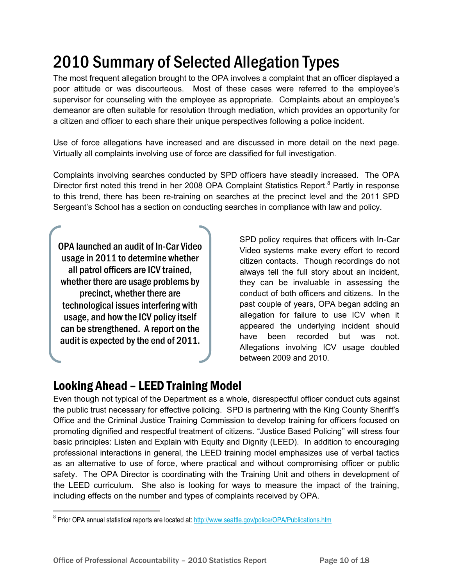# 2010 Summary of Selected Allegation Types

The most frequent allegation brought to the OPA involves a complaint that an officer displayed a poor attitude or was discourteous. Most of these cases were referred to the employee's supervisor for counseling with the employee as appropriate. Complaints about an employee's demeanor are often suitable for resolution through mediation, which provides an opportunity for a citizen and officer to each share their unique perspectives following a police incident.

Use of force allegations have increased and are discussed in more detail on the next page. Virtually all complaints involving use of force are classified for full investigation.

Complaints involving searches conducted by SPD officers have steadily increased. The OPA Director first noted this trend in her 2008 OPA Complaint Statistics Report.<sup>8</sup> Partly in response to this trend, there has been re-training on searches at the precinct level and the 2011 SPD Sergeant's School has a section on conducting searches in compliance with law and policy.

OPA launched an audit of In-Car Video usage in 2011 to determine whether all patrol officers are ICV trained, whether there are usage problems by precinct, whether there are technological issues interfering with usage, and how the ICV policy itself can be strengthened. A report on the audit is expected by the end of 2011.

SPD policy requires that officers with In-Car Video systems make every effort to record citizen contacts. Though recordings do not always tell the full story about an incident, they can be invaluable in assessing the conduct of both officers and citizens. In the past couple of years, OPA began adding an allegation for failure to use ICV when it appeared the underlying incident should have been recorded but was not. Allegations involving ICV usage doubled between 2009 and 2010.

### Looking Ahead – LEED Training Model

Even though not typical of the Department as a whole, disrespectful officer conduct cuts against the public trust necessary for effective policing. SPD is partnering with the King County Sheriff's Office and the Criminal Justice Training Commission to develop training for officers focused on promoting dignified and respectful treatment of citizens. "Justice Based Policing" will stress four basic principles: Listen and Explain with Equity and Dignity (LEED). In addition to encouraging professional interactions in general, the LEED training model emphasizes use of verbal tactics as an alternative to use of force, where practical and without compromising officer or public safety. The OPA Director is coordinating with the Training Unit and others in development of the LEED curriculum. She also is looking for ways to measure the impact of the training, including effects on the number and types of complaints received by OPA.

<sup>&</sup>lt;sup>8</sup> Prior OPA annual statistical reports are located at:<http://www.seattle.gov/police/OPA/Publications.htm>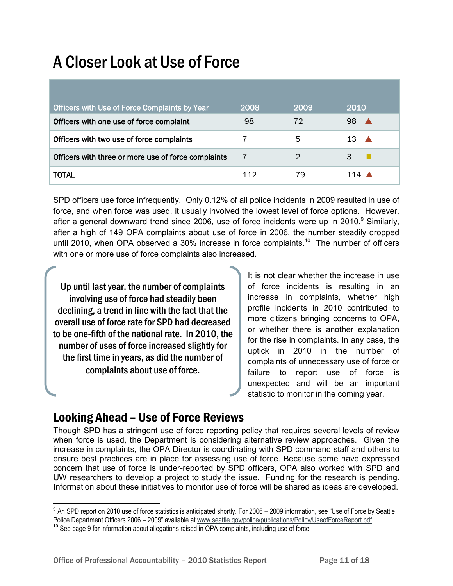# A Closer Look at Use of Force

| Officers with Use of Force Complaints by Year       | 2008 | 2009 | 2010                   |
|-----------------------------------------------------|------|------|------------------------|
| Officers with one use of force complaint            | 98   | 72   | 98                     |
| Officers with two use of force complaints           |      | 5    | 13<br>$\blacktriangle$ |
| Officers with three or more use of force complaints | 7    | 2    | 3                      |
| TOTAL                                               | 112  | 79   |                        |

SPD officers use force infrequently. Only 0.12% of all police incidents in 2009 resulted in use of force, and when force was used, it usually involved the lowest level of force options. However, after a general downward trend since 2006, use of force incidents were up in 2010.<sup>9</sup> Similarly, after a high of 149 OPA complaints about use of force in 2006, the number steadily dropped until 2010, when OPA observed a 30% increase in force complaints.<sup>10</sup> The number of officers with one or more use of force complaints also increased.

Up until last year, the number of complaints involving use of force had steadily been declining, a trend in line with the fact that the overall use of force rate for SPD had decreased to be one-fifth of the national rate. In 2010, the number of uses of force increased slightly for the first time in years, as did the number of complaints about use of force.

It is not clear whether the increase in use of force incidents is resulting in an increase in complaints, whether high profile incidents in 2010 contributed to more citizens bringing concerns to OPA, or whether there is another explanation for the rise in complaints. In any case, the uptick in 2010 in the number of complaints of unnecessary use of force or failure to report use of force is unexpected and will be an important statistic to monitor in the coming year.

#### Looking Ahead – Use of Force Reviews

l

Though SPD has a stringent use of force reporting policy that requires several levels of review when force is used, the Department is considering alternative review approaches. Given the increase in complaints, the OPA Director is coordinating with SPD command staff and others to ensure best practices are in place for assessing use of force. Because some have expressed concern that use of force is under-reported by SPD officers, OPA also worked with SPD and UW researchers to develop a project to study the issue. Funding for the research is pending. Information about these initiatives to monitor use of force will be shared as ideas are developed.

 $9$  An SPD report on 2010 use of force statistics is anticipated shortly. For 2006 – 2009 information, see "Use of Force by Seattle Police Department Officers 2006 – 2009" available a[t www.seattle.gov/police/publications/Policy/UseofForceReport.pdf](http://www.seattle.gov/police/publications/Policy/UseofForceReport.pdf)

 $10$  See page 9 for information about allegations raised in OPA complaints, including use of force.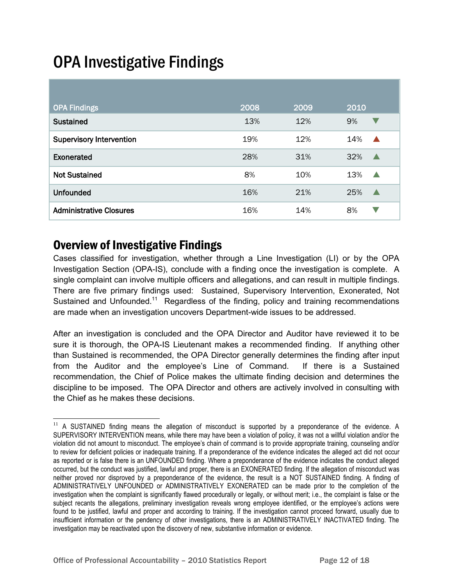# OPA Investigative Findings

| <b>OPA Findings</b>             | 2008 | 2009 | 2010                       |
|---------------------------------|------|------|----------------------------|
| <b>Sustained</b>                | 13%  | 12%  | 9%<br>$\blacktriangledown$ |
| <b>Supervisory Intervention</b> | 19%  | 12%  | 14%                        |
| Exonerated                      | 28%  | 31%  | 32%<br>◢                   |
| <b>Not Sustained</b>            | 8%   | 10%  | 13%<br>▲                   |
| <b>Unfounded</b>                | 16%  | 21%  | 25%                        |
| <b>Administrative Closures</b>  | 16%  | 14%  | 8%<br>v                    |

### Overview of Investigative Findings

l

Cases classified for investigation, whether through a Line Investigation (LI) or by the OPA Investigation Section (OPA-IS), conclude with a finding once the investigation is complete. A single complaint can involve multiple officers and allegations, and can result in multiple findings. There are five primary findings used: Sustained, Supervisory Intervention, Exonerated, Not Sustained and Unfounded.<sup>11</sup> Regardless of the finding, policy and training recommendations are made when an investigation uncovers Department-wide issues to be addressed.

After an investigation is concluded and the OPA Director and Auditor have reviewed it to be sure it is thorough, the OPA-IS Lieutenant makes a recommended finding. If anything other than Sustained is recommended, the OPA Director generally determines the finding after input from the Auditor and the employee's Line of Command. If there is a Sustained recommendation, the Chief of Police makes the ultimate finding decision and determines the discipline to be imposed. The OPA Director and others are actively involved in consulting with the Chief as he makes these decisions.

<sup>&</sup>lt;sup>11</sup> A SUSTAINED finding means the allegation of misconduct is supported by a preponderance of the evidence. A SUPERVISORY INTERVENTION means, while there may have been a violation of policy, it was not a willful violation and/or the violation did not amount to misconduct. The employee's chain of command is to provide appropriate training, counseling and/or to review for deficient policies or inadequate training. If a preponderance of the evidence indicates the alleged act did not occur as reported or is false there is an UNFOUNDED finding. Where a preponderance of the evidence indicates the conduct alleged occurred, but the conduct was justified, lawful and proper, there is an EXONERATED finding. If the allegation of misconduct was neither proved nor disproved by a preponderance of the evidence, the result is a NOT SUSTAINED finding. A finding of ADMINISTRATIVELY UNFOUNDED or ADMINISTRATIVELY EXONERATED can be made prior to the completion of the investigation when the complaint is significantly flawed procedurally or legally, or without merit; i.e., the complaint is false or the subject recants the allegations, preliminary investigation reveals wrong employee identified, or the employee's actions were found to be justified, lawful and proper and according to training. If the investigation cannot proceed forward, usually due to insufficient information or the pendency of other investigations, there is an ADMINISTRATIVELY INACTIVATED finding. The investigation may be reactivated upon the discovery of new, substantive information or evidence.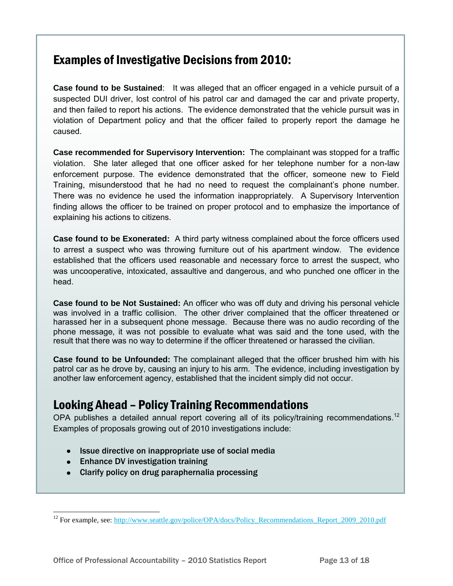#### Examples of Investigative Decisions from 2010:

**Case found to be Sustained**: It was alleged that an officer engaged in a vehicle pursuit of a suspected DUI driver, lost control of his patrol car and damaged the car and private property, and then failed to report his actions. The evidence demonstrated that the vehicle pursuit was in violation of Department policy and that the officer failed to properly report the damage he caused.

**Case recommended for Supervisory Intervention:** The complainant was stopped for a traffic violation. She later alleged that one officer asked for her telephone number for a non-law enforcement purpose. The evidence demonstrated that the officer, someone new to Field Training, misunderstood that he had no need to request the complainant's phone number. There was no evidence he used the information inappropriately. A Supervisory Intervention finding allows the officer to be trained on proper protocol and to emphasize the importance of explaining his actions to citizens.

**Case found to be Exonerated:** A third party witness complained about the force officers used to arrest a suspect who was throwing furniture out of his apartment window. The evidence established that the officers used reasonable and necessary force to arrest the suspect, who was uncooperative, intoxicated, assaultive and dangerous, and who punched one officer in the head.

**Case found to be Not Sustained:** An officer who was off duty and driving his personal vehicle was involved in a traffic collision. The other driver complained that the officer threatened or harassed her in a subsequent phone message. Because there was no audio recording of the phone message, it was not possible to evaluate what was said and the tone used, with the result that there was no way to determine if the officer threatened or harassed the civilian.

**Case found to be Unfounded:** The complainant alleged that the officer brushed him with his patrol car as he drove by, causing an injury to his arm. The evidence, including investigation by another law enforcement agency, established that the incident simply did not occur.

### Looking Ahead – Policy Training Recommendations

OPA publishes a detailed annual report covering all of its policy/training recommendations.<sup>12</sup> Examples of proposals growing out of 2010 investigations include:

- Issue directive on inappropriate use of social media
- Enhance DV investigation training

l

Clarify policy on drug paraphernalia processing

<sup>&</sup>lt;sup>12</sup> For example, see: [http://www.seattle.gov/police/OPA/docs/Policy\\_Recommendations\\_Report\\_2009\\_2010.pdf](http://www.seattle.gov/police/OPA/docs/Policy_Recommendations_Report_2009_2010.pdf)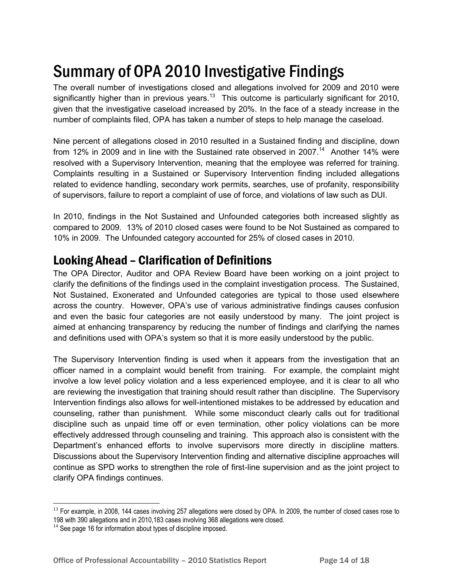# Summary of OPA 2010 Investigative Findings

The overall number of investigations closed and allegations involved for 2009 and 2010 were significantly higher than in previous years.<sup>13</sup> This outcome is particularly significant for 2010, given that the investigative caseload increased by 20%. In the face of a steady increase in the number of complaints filed, OPA has taken a number of steps to help manage the caseload.

Nine percent of allegations closed in 2010 resulted in a Sustained finding and discipline, down from 12% in 2009 and in line with the Sustained rate observed in 2007.<sup>14</sup> Another 14% were resolved with a Supervisory Intervention, meaning that the employee was referred for training. Complaints resulting in a Sustained or Supervisory Intervention finding included allegations related to evidence handling, secondary work permits, searches, use of profanity, responsibility of supervisors, failure to report a complaint of use of force, and violations of law such as DUI.

In 2010, findings in the Not Sustained and Unfounded categories both increased slightly as compared to 2009. 13% of 2010 closed cases were found to be Not Sustained as compared to 10% in 2009. The Unfounded category accounted for 25% of closed cases in 2010.

#### Looking Ahead – Clarification of Definitions

The OPA Director, Auditor and OPA Review Board have been working on a joint project to clarify the definitions of the findings used in the complaint investigation process. The Sustained, Not Sustained, Exonerated and Unfounded categories are typical to those used elsewhere across the country. However, OPA's use of various administrative findings causes confusion and even the basic four categories are not easily understood by many. The joint project is aimed at enhancing transparency by reducing the number of findings and clarifying the names and definitions used with OPA's system so that it is more easily understood by the public.

The Supervisory Intervention finding is used when it appears from the investigation that an officer named in a complaint would benefit from training. For example, the complaint might involve a low level policy violation and a less experienced employee, and it is clear to all who are reviewing the investigation that training should result rather than discipline. The Supervisory Intervention findings also allows for well-intentioned mistakes to be addressed by education and counseling, rather than punishment. While some misconduct clearly calls out for traditional discipline such as unpaid time off or even termination, other policy violations can be more effectively addressed through counseling and training. This approach also is consistent with the Department's enhanced efforts to involve supervisors more directly in discipline matters. Discussions about the Supervisory Intervention finding and alternative discipline approaches will continue as SPD works to strengthen the role of first-line supervision and as the joint project to clarify OPA findings continues.

<sup>&</sup>lt;sup>13</sup> For example, in 2008, 144 cases involving 257 allegations were closed by OPA. In 2009, the number of closed cases rose to 198 with 390 allegations and in 2010,183 cases involving 368 allegations were closed.

 $14$  See page 16 for information about types of discipline imposed.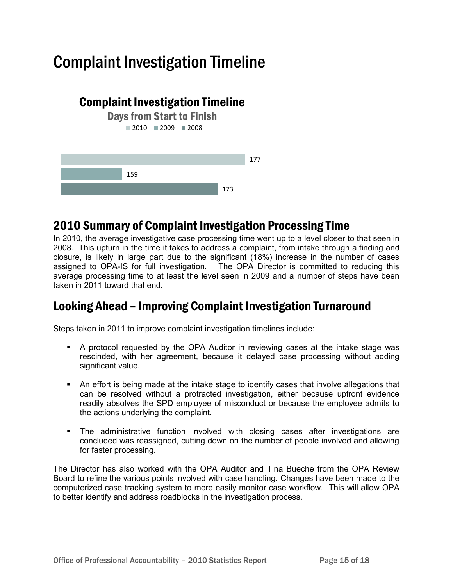## Complaint Investigation Timeline



### 2010 Summary of Complaint Investigation Processing Time

In 2010, the average investigative case processing time went up to a level closer to that seen in 2008. This upturn in the time it takes to address a complaint, from intake through a finding and closure, is likely in large part due to the significant (18%) increase in the number of cases assigned to OPA-IS for full investigation. The OPA Director is committed to reducing this average processing time to at least the level seen in 2009 and a number of steps have been taken in 2011 toward that end.

### Looking Ahead – Improving Complaint Investigation Turnaround

Steps taken in 2011 to improve complaint investigation timelines include:

- A protocol requested by the OPA Auditor in reviewing cases at the intake stage was rescinded, with her agreement, because it delayed case processing without adding significant value.
- An effort is being made at the intake stage to identify cases that involve allegations that can be resolved without a protracted investigation, either because upfront evidence readily absolves the SPD employee of misconduct or because the employee admits to the actions underlying the complaint.
- The administrative function involved with closing cases after investigations are concluded was reassigned, cutting down on the number of people involved and allowing for faster processing.

The Director has also worked with the OPA Auditor and Tina Bueche from the OPA Review Board to refine the various points involved with case handling. Changes have been made to the computerized case tracking system to more easily monitor case workflow. This will allow OPA to better identify and address roadblocks in the investigation process.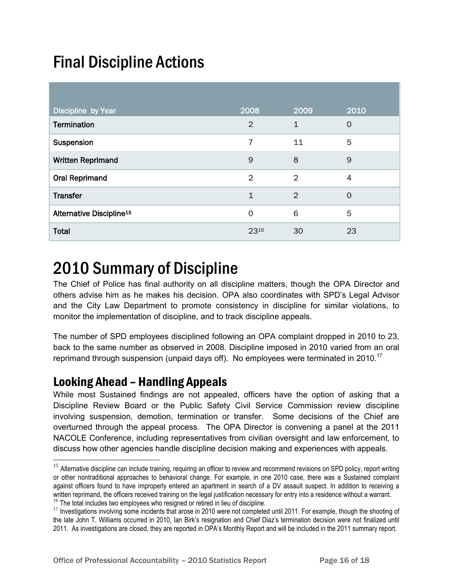# Final Discipline Actions

| Discipline by Year                   | 2008           | 2009           | 2010           |
|--------------------------------------|----------------|----------------|----------------|
| <b>Termination</b>                   | $\overline{2}$ | $\mathbf{1}$   | $\Omega$       |
| Suspension                           | 7              | 11             | 5              |
| <b>Written Reprimand</b>             | 9              | 8              | $\overline{9}$ |
| <b>Oral Reprimand</b>                | $\overline{2}$ | $\overline{2}$ | 4              |
| <b>Transfer</b>                      | $\mathbf{1}$   | $\overline{2}$ | $\Omega$       |
| Alternative Discipline <sup>15</sup> | $\Omega$       | 6              | 5              |
| <b>Total</b>                         | 2316           | 30             | 23             |

## 2010 Summary of Discipline

The Chief of Police has final authority on all discipline matters, though the OPA Director and others advise him as he makes his decision. OPA also coordinates with SPD's Legal Advisor and the City Law Department to promote consistency in discipline for similar violations, to monitor the implementation of discipline, and to track discipline appeals.

The number of SPD employees disciplined following an OPA complaint dropped in 2010 to 23, back to the same number as observed in 2008. Discipline imposed in 2010 varied from an oral reprimand through suspension (unpaid days off). No employees were terminated in 2010.<sup>17</sup>

#### Looking Ahead – Handling Appeals

l

While most Sustained findings are not appealed, officers have the option of asking that a Discipline Review Board or the Public Safety Civil Service Commission review discipline involving suspension, demotion, termination or transfer. Some decisions of the Chief are overturned through the appeal process. The OPA Director is convening a panel at the 2011 NACOLE Conference, including representatives from civilian oversight and law enforcement, to discuss how other agencies handle discipline decision making and experiences with appeals.

<sup>&</sup>lt;sup>15</sup> Alternative discipline can include training, requiring an officer to review and recommend revisions on SPD policy, report writing or other nontraditional approaches to behavioral change. For example, in one 2010 case, there was a Sustained complaint against officers found to have improperly entered an apartment in search of a DV assault suspect. In addition to receiving a written reprimand, the officers received training on the legal justification necessary for entry into a residence without a warrant.  $16$  The total includes two employees who resigned or retired in lieu of discipline.

<sup>&</sup>lt;sup>17</sup> Investigations involving some incidents that arose in 2010 were not completed until 2011. For example, though the shooting of the late John T. Williams occurred in 2010, Ian Birk's resignation and Chief Diaz's termination decision were not finalized until 2011. As investigations are closed, they are reported in OPA's Monthly Report and will be included in the 2011 summary report.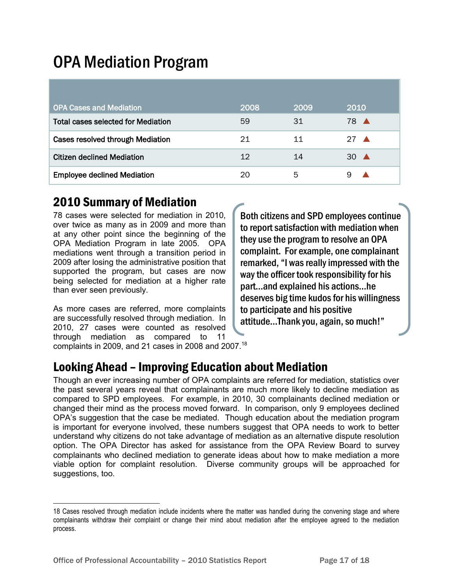## OPA Mediation Program

| <b>OPA Cases and Mediation</b>            | 2008 | 2009 | 2010           |
|-------------------------------------------|------|------|----------------|
| <b>Total cases selected for Mediation</b> | 59   | 31   | 78 A           |
| Cases resolved through Mediation          | 21   | 11   | $27 \triangle$ |
| <b>Citizen declined Mediation</b>         | 12   | 14   | $30 \triangle$ |
| <b>Employee declined Mediation</b>        | 20   | 5    |                |

### 2010 Summary of Mediation

78 cases were selected for mediation in 2010, over twice as many as in 2009 and more than at any other point since the beginning of the OPA Mediation Program in late 2005. OPA mediations went through a transition period in 2009 after losing the administrative position that supported the program, but cases are now being selected for mediation at a higher rate than ever seen previously.

As more cases are referred, more complaints are successfully resolved through mediation. In 2010, 27 cases were counted as resolved through mediation as compared to 11 complaints in 2009, and 21 cases in 2008 and 2007.<sup>18</sup>

Both citizens and SPD employees continue to report satisfaction with mediation when they use the program to resolve an OPA complaint. For example, one complainant remarked, "I was really impressed with the way the officer took responsibility for his part…and explained his actions…he deserves big time kudos for his willingness to participate and his positive attitude…Thank you, again, so much!"

### Looking Ahead – Improving Education about Mediation

Though an ever increasing number of OPA complaints are referred for mediation, statistics over the past several years reveal that complainants are much more likely to decline mediation as compared to SPD employees. For example, in 2010, 30 complainants declined mediation or changed their mind as the process moved forward. In comparison, only 9 employees declined OPA's suggestion that the case be mediated. Though education about the mediation program is important for everyone involved, these numbers suggest that OPA needs to work to better understand why citizens do not take advantage of mediation as an alternative dispute resolution option. The OPA Director has asked for assistance from the OPA Review Board to survey complainants who declined mediation to generate ideas about how to make mediation a more viable option for complaint resolution. Diverse community groups will be approached for suggestions, too.

<sup>18</sup> Cases resolved through mediation include incidents where the matter was handled during the convening stage and where complainants withdraw their complaint or change their mind about mediation after the employee agreed to the mediation process.